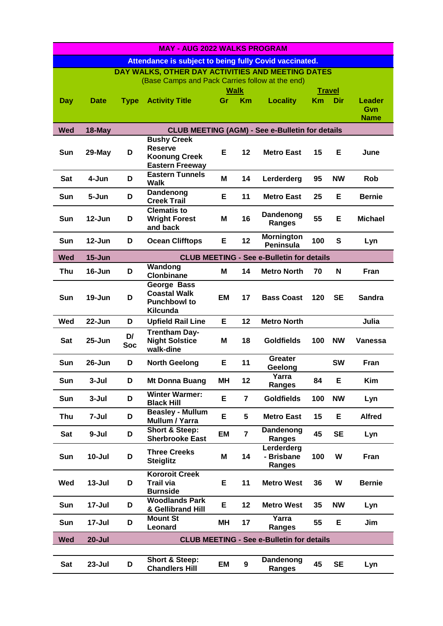| <b>MAY - AUG 2022 WALKS PROGRAM</b>                           |                                                  |             |                                                |             |                         |                                                        |           |               |                      |
|---------------------------------------------------------------|--------------------------------------------------|-------------|------------------------------------------------|-------------|-------------------------|--------------------------------------------------------|-----------|---------------|----------------------|
| <b>Attendance is subject to being fully Covid vaccinated.</b> |                                                  |             |                                                |             |                         |                                                        |           |               |                      |
| DAY WALKS, OTHER DAY ACTIVITIES AND MEETING DATES             |                                                  |             |                                                |             |                         |                                                        |           |               |                      |
| (Base Camps and Pack Carries follow at the end)               |                                                  |             |                                                |             |                         |                                                        |           |               |                      |
|                                                               |                                                  |             |                                                | <b>Walk</b> |                         |                                                        |           | <b>Travel</b> |                      |
| <b>Day</b>                                                    | <b>Date</b>                                      | <b>Type</b> | <b>Activity Title</b>                          | Gr          | Km                      | <b>Locality</b>                                        | <b>Km</b> | Dir           | <b>Leader</b><br>Gvn |
|                                                               |                                                  |             |                                                |             |                         |                                                        |           |               | <b>Name</b>          |
| <b>Wed</b>                                                    | 18-May                                           |             |                                                |             |                         | <b>CLUB MEETING (AGM) - See e-Bulletin for details</b> |           |               |                      |
|                                                               |                                                  |             | <b>Bushy Creek</b>                             |             |                         |                                                        |           |               |                      |
| Sun                                                           | 29-May                                           | D           | <b>Reserve</b>                                 | Е           | 12                      | <b>Metro East</b>                                      | 15        | Е             | June                 |
|                                                               |                                                  |             | <b>Koonung Creek</b><br><b>Eastern Freeway</b> |             |                         |                                                        |           |               |                      |
|                                                               |                                                  |             | <b>Eastern Tunnels</b>                         |             |                         |                                                        |           |               |                      |
| Sat                                                           | 4-Jun                                            | D           | <b>Walk</b>                                    | M           | 14                      | Lerderderg                                             | 95        | <b>NW</b>     | <b>Rob</b>           |
| Sun                                                           | 5-Jun                                            | D           | <b>Dandenong</b>                               | Е           | 11                      | <b>Metro East</b>                                      | 25        | Е             | <b>Bernie</b>        |
|                                                               |                                                  |             | <b>Creek Trail</b><br><b>Clematis to</b>       |             |                         |                                                        |           |               |                      |
| <b>Sun</b>                                                    | 12-Jun                                           | D           | <b>Wright Forest</b>                           | Μ           | 16                      | Dandenong                                              | 55        | E             | <b>Michael</b>       |
|                                                               |                                                  |             | and back                                       |             |                         | Ranges                                                 |           |               |                      |
| <b>Sun</b>                                                    | 12-Jun                                           | D           | <b>Ocean Clifftops</b>                         | Е           | 12                      | <b>Mornington</b>                                      | 100       | S             | Lyn                  |
|                                                               |                                                  |             |                                                |             |                         | <b>Peninsula</b>                                       |           |               |                      |
| <b>Wed</b>                                                    | $15 - Jun$                                       |             |                                                |             |                         | <b>CLUB MEETING - See e-Bulletin for details</b>       |           |               |                      |
| Thu                                                           | $16 - Jun$                                       | D           | Wandong<br><b>Clonbinane</b>                   | M           | 14                      | <b>Metro North</b>                                     | 70        | N             | Fran                 |
|                                                               |                                                  |             | George Bass                                    |             |                         |                                                        |           |               |                      |
| <b>Sun</b>                                                    | 19-Jun                                           | D           | <b>Coastal Walk</b>                            | EM          | 17                      | <b>Bass Coast</b>                                      | 120       | <b>SE</b>     | <b>Sandra</b>        |
|                                                               |                                                  |             | <b>Punchbowl to</b>                            |             |                         |                                                        |           |               |                      |
|                                                               |                                                  |             | Kilcunda                                       |             |                         |                                                        |           |               |                      |
| <b>Wed</b>                                                    | 22-Jun                                           | D           | <b>Upfield Rail Line</b>                       | Е           | 12                      | <b>Metro North</b>                                     |           |               | Julia                |
| <b>Sat</b>                                                    | $25 - Jun$                                       | D/          | <b>Trentham Day-</b><br><b>Night Solstice</b>  | Μ           | 18                      | <b>Goldfields</b>                                      | 100       | <b>NW</b>     | <b>Vanessa</b>       |
|                                                               |                                                  | <b>Soc</b>  | walk-dine                                      |             |                         |                                                        |           |               |                      |
| Sun                                                           | 26-Jun                                           | D           | <b>North Geelong</b>                           | Е           | 11                      | <b>Greater</b>                                         |           | <b>SW</b>     | Fran                 |
|                                                               |                                                  |             |                                                |             |                         | Geelong                                                |           |               |                      |
| Sun                                                           | $3-Jul$                                          | D           | Mt Donna Buang                                 | MН          | 12                      | Yarra<br>Ranges                                        | 84        | E             | Kim                  |
|                                                               |                                                  |             | <b>Winter Warmer:</b>                          |             |                         |                                                        |           |               |                      |
| Sun                                                           | $3 -$ Jul                                        | D           | <b>Black Hill</b>                              | Е           | $\overline{\mathbf{7}}$ | <b>Goldfields</b>                                      | 100       | <b>NW</b>     | Lyn                  |
| <b>Thu</b>                                                    | 7-Jul                                            | D           | <b>Beasley - Mullum</b>                        | Е           | 5                       | <b>Metro East</b>                                      | 15        | Е             | <b>Alfred</b>        |
|                                                               |                                                  |             | <b>Mullum / Yarra</b><br>Short & Steep:        |             |                         | Dandenong                                              |           |               |                      |
| Sat                                                           | 9-Jul                                            | D           | <b>Sherbrooke East</b>                         | EM          | $\overline{7}$          | Ranges                                                 | 45        | <b>SE</b>     | Lyn                  |
|                                                               |                                                  |             | <b>Three Creeks</b>                            |             |                         | Lerderderg                                             |           |               |                      |
| Sun                                                           | $10 -$ Jul                                       | D           | <b>Steiglitz</b>                               | M           | 14                      | - Brisbane                                             | 100       | W             | Fran                 |
|                                                               |                                                  |             | <b>Kororoit Creek</b>                          |             |                         | Ranges                                                 |           |               |                      |
| Wed                                                           | $13 -$ Jul                                       | D           | <b>Trail via</b>                               | Е           | 11                      | <b>Metro West</b>                                      | 36        | W             | <b>Bernie</b>        |
|                                                               |                                                  |             | <b>Burnside</b>                                |             |                         |                                                        |           |               |                      |
| Sun                                                           | 17-Jul                                           | D           | <b>Woodlands Park</b>                          | E           | 12                      | <b>Metro West</b>                                      | 35        | <b>NW</b>     | Lyn                  |
|                                                               |                                                  |             | & Gellibrand Hill<br><b>Mount St</b>           |             |                         | Yarra                                                  |           |               |                      |
| Sun                                                           | 17-Jul                                           | D           | Leonard                                        | MН          | 17                      | Ranges                                                 | 55        | E             | Jim                  |
| <b>Wed</b>                                                    | $20 -$ Jul                                       |             |                                                |             |                         |                                                        |           |               |                      |
|                                                               | <b>CLUB MEETING - See e-Bulletin for details</b> |             |                                                |             |                         |                                                        |           |               |                      |
|                                                               |                                                  |             | <b>Short &amp; Steep:</b>                      |             |                         | Dandenong                                              |           |               |                      |
| Sat                                                           | $23 -$ Jul                                       | D           | <b>Chandlers Hill</b>                          | EM          | $\boldsymbol{9}$        | <b>Ranges</b>                                          | 45        | <b>SE</b>     | Lyn                  |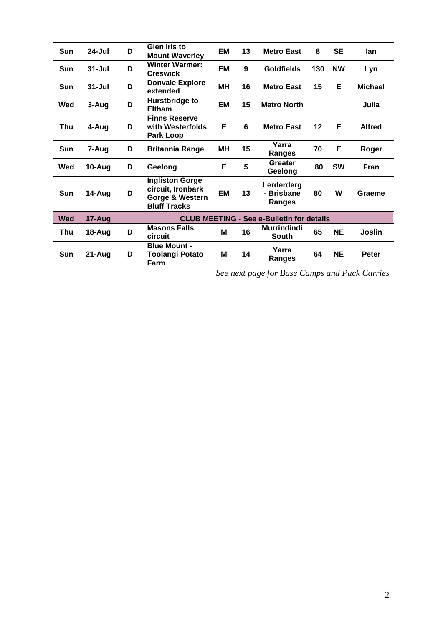| Sun        | $24 -$ Jul | D                                                | <b>Glen Iris to</b><br><b>Mount Waverley</b>                                          | EM        | 13 | <b>Metro East</b>                         | 8   | <b>SE</b> | lan            |
|------------|------------|--------------------------------------------------|---------------------------------------------------------------------------------------|-----------|----|-------------------------------------------|-----|-----------|----------------|
| <b>Sun</b> | $31 -$ Jul | D                                                | <b>Winter Warmer:</b><br><b>Creswick</b>                                              | <b>EM</b> | 9  | <b>Goldfields</b>                         | 130 | <b>NW</b> | Lyn            |
| Sun        | $31 -$ Jul | D                                                | <b>Donvale Explore</b><br>extended                                                    | <b>MH</b> | 16 | <b>Metro East</b>                         | 15  | Е         | <b>Michael</b> |
| Wed        | 3-Aug      | D                                                | Hurstbridge to<br><b>Eltham</b>                                                       | <b>EM</b> | 15 | <b>Metro North</b>                        |     |           | Julia          |
| Thu        | 4-Aug      | D                                                | <b>Finns Reserve</b><br>with Westerfolds<br>Park Loop                                 | Е         | 6  | <b>Metro East</b>                         | 12  | Е         | <b>Alfred</b>  |
| Sun        | 7-Aug      | D                                                | <b>Britannia Range</b>                                                                | MН        | 15 | Yarra<br>Ranges                           | 70  | E         | Roger          |
| Wed        | 10-Aug     | D                                                | Geelong                                                                               | Е         | 5  | <b>Greater</b><br>Geelong                 | 80  | <b>SW</b> | Fran           |
| Sun        | 14-Aug     | D                                                | <b>Ingliston Gorge</b><br>circuit, Ironbark<br>Gorge & Western<br><b>Bluff Tracks</b> | <b>EM</b> | 13 | Lerderderg<br>- Brisbane<br><b>Ranges</b> | 80  | W         | Graeme         |
| <b>Wed</b> | 17-Aug     | <b>CLUB MEETING - See e-Bulletin for details</b> |                                                                                       |           |    |                                           |     |           |                |
| Thu        | 18-Aug     | D                                                | <b>Masons Falls</b><br>circuit                                                        | M         | 16 | <b>Murrindindi</b><br><b>South</b>        | 65  | <b>NE</b> | Joslin         |
| <b>Sun</b> | 21-Aug     | D                                                | <b>Blue Mount -</b><br>Toolangi Potato<br>Farm                                        | M         | 14 | Yarra<br>Ranges                           | 64  | <b>NE</b> | <b>Peter</b>   |

*See next page for Base Camps and Pack Carries*